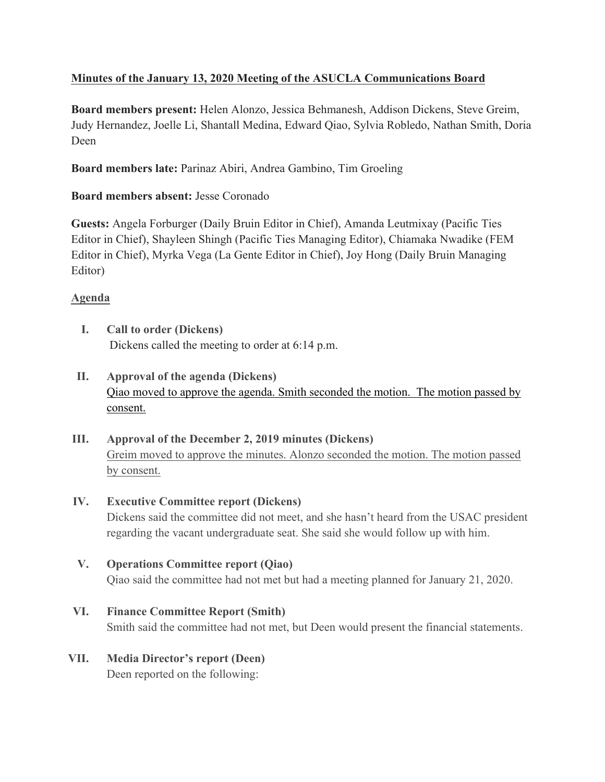# **Minutes of the January 13, 2020 Meeting of the ASUCLA Communications Board**

**Board members present:** Helen Alonzo, Jessica Behmanesh, Addison Dickens, Steve Greim, Judy Hernandez, Joelle Li, Shantall Medina, Edward Qiao, Sylvia Robledo, Nathan Smith, Doria Deen

**Board members late:** Parinaz Abiri, Andrea Gambino, Tim Groeling

## **Board members absent:** Jesse Coronado

**Guests:** Angela Forburger (Daily Bruin Editor in Chief), Amanda Leutmixay (Pacific Ties Editor in Chief), Shayleen Shingh (Pacific Ties Managing Editor), Chiamaka Nwadike (FEM Editor in Chief), Myrka Vega (La Gente Editor in Chief), Joy Hong (Daily Bruin Managing Editor)

# **Agenda**

- **I. Call to order (Dickens)** Dickens called the meeting to order at 6:14 p.m.
- **II. Approval of the agenda (Dickens)** Qiao moved to approve the agenda. Smith seconded the motion. The motion passed by consent.
- **III. Approval of the December 2, 2019 minutes (Dickens)** Greim moved to approve the minutes. Alonzo seconded the motion. The motion passed by consent.
- **IV. Executive Committee report (Dickens)** Dickens said the committee did not meet, and she hasn't heard from the USAC president regarding the vacant undergraduate seat. She said she would follow up with him.
- **V. Operations Committee report (Qiao)** Qiao said the committee had not met but had a meeting planned for January 21, 2020.

## **VI. Finance Committee Report (Smith)**

Smith said the committee had not met, but Deen would present the financial statements.

**VII. Media Director's report (Deen)** Deen reported on the following: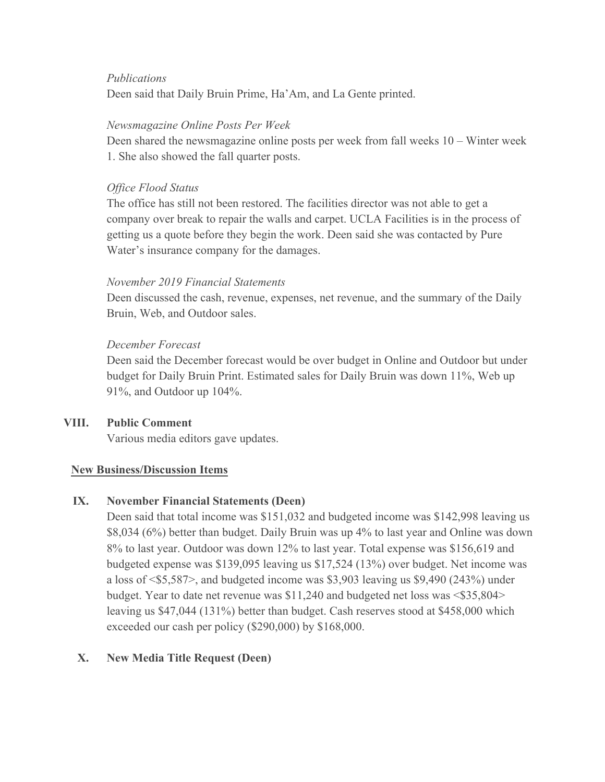### *Publications*

Deen said that Daily Bruin Prime, Ha'Am, and La Gente printed.

### *Newsmagazine Online Posts Per Week*

Deen shared the newsmagazine online posts per week from fall weeks 10 – Winter week 1. She also showed the fall quarter posts.

### *Office Flood Status*

The office has still not been restored. The facilities director was not able to get a company over break to repair the walls and carpet. UCLA Facilities is in the process of getting us a quote before they begin the work. Deen said she was contacted by Pure Water's insurance company for the damages.

#### *November 2019 Financial Statements*

Deen discussed the cash, revenue, expenses, net revenue, and the summary of the Daily Bruin, Web, and Outdoor sales.

### *December Forecast*

Deen said the December forecast would be over budget in Online and Outdoor but under budget for Daily Bruin Print. Estimated sales for Daily Bruin was down 11%, Web up 91%, and Outdoor up 104%.

## **VIII. Public Comment**

Various media editors gave updates.

#### **New Business/Discussion Items**

#### **IX. November Financial Statements (Deen)**

Deen said that total income was \$151,032 and budgeted income was \$142,998 leaving us \$8,034 (6%) better than budget. Daily Bruin was up 4% to last year and Online was down 8% to last year. Outdoor was down 12% to last year. Total expense was \$156,619 and budgeted expense was \$139,095 leaving us \$17,524 (13%) over budget. Net income was a loss of  $\langle $5,587 \rangle$ , and budgeted income was \$3,903 leaving us \$9,490 (243%) under budget. Year to date net revenue was \$11,240 and budgeted net loss was <\$35,804> leaving us \$47,044 (131%) better than budget. Cash reserves stood at \$458,000 which exceeded our cash per policy (\$290,000) by \$168,000.

## **X. New Media Title Request (Deen)**